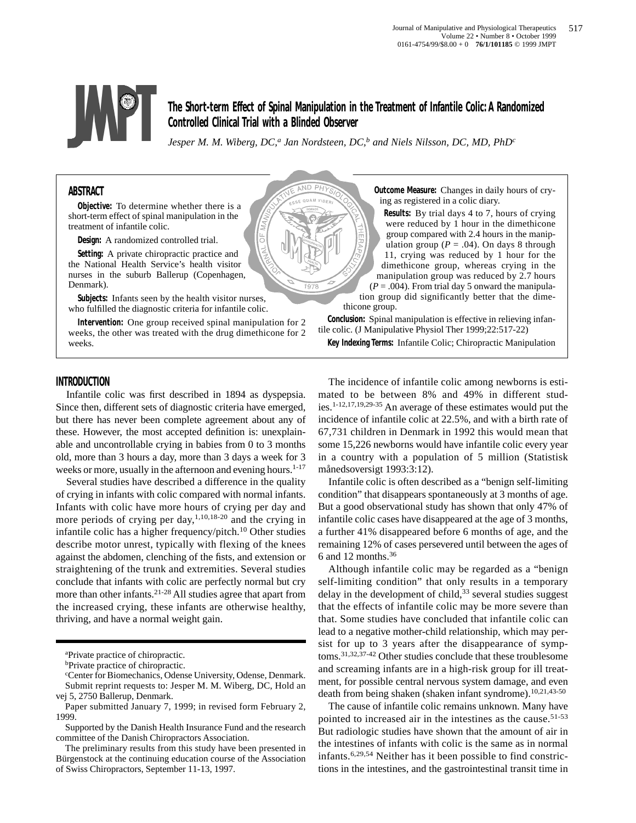

**The Short-term Effect of Spinal Manipulation in the Treatment of Infantile Colic: A Randomized Controlled Clinical Trial with a Blinded Observer**

*Jesper M. M. Wiberg, DC,<sup>a</sup> Jan Nordsteen, DC,<sup>b</sup> and Niels Nilsson, DC, MD, PhD<sup>c</sup>* 

**ND** QUAM VIE

97

# **ABSTRACT**

**Objective:** To determine whether there is a short-term effect of spinal manipulation in the treatment of infantile colic.

**Design:** A randomized controlled trial.

**Setting:** A private chiropractic practice and the National Health Service's health visitor nurses in the suburb Ballerup (Copenhagen, Denmark).

**Subjects:** Infants seen by the health visitor nurses, who fulfilled the diagnostic criteria for infantile colic.

**Intervention:** One group received spinal manipulation for 2 weeks, the other was treated with the drug dimethicone for 2 weeks.

**Outcome Measure:** Changes in daily hours of crying as registered in a colic diary.

**Results:** By trial days 4 to 7, hours of crying were reduced by 1 hour in the dimethicone group compared with 2.4 hours in the manipulation group ( $P = .04$ ). On days 8 through 11, crying was reduced by 1 hour for the dimethicone group, whereas crying in the manipulation group was reduced by 2.7 hours  $(P = .004)$ . From trial day 5 onward the manipula-

tion group did significantly better that the dimethicone group.

**Conclusion:** Spinal manipulation is effective in relieving infantile colic. (J Manipulative Physiol Ther 1999;22:517-22)

**Key Indexing Terms:** Infantile Colic; Chiropractic Manipulation

## **INTRODUCTION**

Infantile colic was first described in 1894 as dyspepsia. Since then, different sets of diagnostic criteria have emerged, but there has never been complete agreement about any of these. However, the most accepted definition is: unexplainable and uncontrollable crying in babies from 0 to 3 months old, more than 3 hours a day, more than 3 days a week for 3 weeks or more, usually in the afternoon and evening hours. $1-17$ 

Several studies have described a difference in the quality of crying in infants with colic compared with normal infants. Infants with colic have more hours of crying per day and more periods of crying per day,  $1,10,18-20$  and the crying in infantile colic has a higher frequency/pitch. $10$  Other studies describe motor unrest, typically with flexing of the knees against the abdomen, clenching of the fists, and extension or straightening of the trunk and extremities. Several studies conclude that infants with colic are perfectly normal but cry more than other infants.21-28 All studies agree that apart from the increased crying, these infants are otherwise healthy, thriving, and have a normal weight gain.

b<sub>Private</sub> practice of chiropractic.

The incidence of infantile colic among newborns is estimated to be between 8% and 49% in different studies.1-12,17,19,29-35 An average of these estimates would put the incidence of infantile colic at 22.5%, and with a birth rate of 67,731 children in Denmark in 1992 this would mean that some 15,226 newborns would have infantile colic every year in a country with a population of 5 million (Statistisk månedsoversigt 1993:3:12).

Infantile colic is often described as a "benign self-limiting condition" that disappears spontaneously at 3 months of age. But a good observational study has shown that only 47% of infantile colic cases have disappeared at the age of 3 months, a further 41% disappeared before 6 months of age, and the remaining 12% of cases persevered until between the ages of 6 and 12 months.36

Although infantile colic may be regarded as a "benign self-limiting condition" that only results in a temporary delay in the development of child,<sup>33</sup> several studies suggest that the effects of infantile colic may be more severe than that. Some studies have concluded that infantile colic can lead to a negative mother-child relationship, which may persist for up to 3 years after the disappearance of symptoms.31,32,37-42 Other studies conclude that these troublesome and screaming infants are in a high-risk group for ill treatment, for possible central nervous system damage, and even death from being shaken (shaken infant syndrome).<sup>10,21,43-50</sup>

The cause of infantile colic remains unknown. Many have pointed to increased air in the intestines as the cause.<sup>51-53</sup> But radiologic studies have shown that the amount of air in the intestines of infants with colic is the same as in normal infants.6,29,54 Neither has it been possible to find constrictions in the intestines, and the gastrointestinal transit time in

a Private practice of chiropractic.

c Center for Biomechanics, Odense University, Odense, Denmark. Submit reprint requests to: Jesper M. M. Wiberg, DC, Hold an vej 5, 2750 Ballerup, Denmark.

Paper submitted January 7, 1999; in revised form February 2, 1999.

Supported by the Danish Health Insurance Fund and the research committee of the Danish Chiropractors Association.

The preliminary results from this study have been presented in Bürgenstock at the continuing education course of the Association of Swiss Chiropractors, September 11-13, 1997.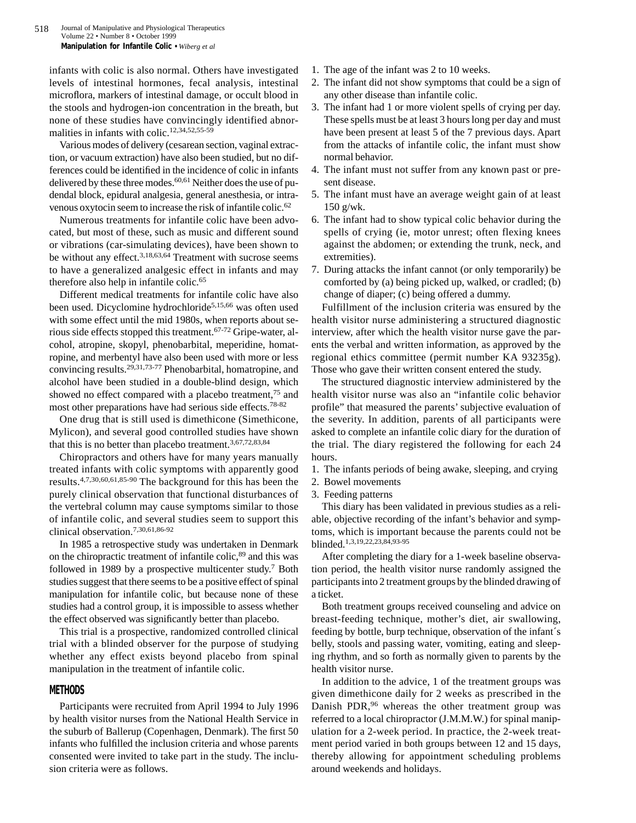infants with colic is also normal. Others have investigated levels of intestinal hormones, fecal analysis, intestinal microflora, markers of intestinal damage, or occult blood in the stools and hydrogen-ion concentration in the breath, but none of these studies have convincingly identified abnormalities in infants with colic.12,34,52,55-59

Various modes of delivery (cesarean section, vaginal extraction, or vacuum extraction) have also been studied, but no differences could be identified in the incidence of colic in infants delivered by these three modes.<sup>60,61</sup> Neither does the use of pudendal block, epidural analgesia, general anesthesia, or intravenous oxytocin seem to increase the risk of infantile colic.62

Numerous treatments for infantile colic have been advocated, but most of these, such as music and different sound or vibrations (car-simulating devices), have been shown to be without any effect.<sup>3,18,63,64</sup> Treatment with sucrose seems to have a generalized analgesic effect in infants and may therefore also help in infantile colic.65

Different medical treatments for infantile colic have also been used. Dicyclomine hydrochloride<sup>5,15,66</sup> was often used with some effect until the mid 1980s, when reports about serious side effects stopped this treatment.67-72 Gripe-water, alcohol, atropine, skopyl, phenobarbital, meperidine, homatropine, and merbentyl have also been used with more or less convincing results.29,31,73-77 Phenobarbital, homatropine, and alcohol have been studied in a double-blind design, which showed no effect compared with a placebo treatment,<sup>75</sup> and most other preparations have had serious side effects.78-82

One drug that is still used is dimethicone (Simethicone, Mylicon), and several good controlled studies have shown that this is no better than placebo treatment.3,67,72,83,84

Chiropractors and others have for many years manually treated infants with colic symptoms with apparently good results.4,7,30,60,61,85-90 The background for this has been the purely clinical observation that functional disturbances of the vertebral column may cause symptoms similar to those of infantile colic, and several studies seem to support this clinical observation.7,30,61,86-92

In 1985 a retrospective study was undertaken in Denmark on the chiropractic treatment of infantile colic,<sup>89</sup> and this was followed in 1989 by a prospective multicenter study.7 Both studies suggest that there seems to be a positive effect of spinal manipulation for infantile colic, but because none of these studies had a control group, it is impossible to assess whether the effect observed was significantly better than placebo.

This trial is a prospective, randomized controlled clinical trial with a blinded observer for the purpose of studying whether any effect exists beyond placebo from spinal manipulation in the treatment of infantile colic.

## **METHODS**

Participants were recruited from April 1994 to July 1996 by health visitor nurses from the National Health Service in the suburb of Ballerup (Copenhagen, Denmark). The first 50 infants who fulfilled the inclusion criteria and whose parents consented were invited to take part in the study. The inclusion criteria were as follows.

- 1. The age of the infant was 2 to 10 weeks.
- 2. The infant did not show symptoms that could be a sign of any other disease than infantile colic.
- 3. The infant had 1 or more violent spells of crying per day. These spells must be at least 3 hours long per day and must have been present at least 5 of the 7 previous days. Apart from the attacks of infantile colic, the infant must show normal behavior.
- 4. The infant must not suffer from any known past or present disease.
- 5. The infant must have an average weight gain of at least 150 g/wk.
- 6. The infant had to show typical colic behavior during the spells of crying (ie, motor unrest; often flexing knees against the abdomen; or extending the trunk, neck, and extremities).
- 7. During attacks the infant cannot (or only temporarily) be comforted by (a) being picked up, walked, or cradled; (b) change of diaper; (c) being offered a dummy.

Fulfillment of the inclusion criteria was ensured by the health visitor nurse administering a structured diagnostic interview, after which the health visitor nurse gave the parents the verbal and written information, as approved by the regional ethics committee (permit number KA 93235g). Those who gave their written consent entered the study.

The structured diagnostic interview administered by the health visitor nurse was also an "infantile colic behavior profile" that measured the parents' subjective evaluation of the severity. In addition, parents of all participants were asked to complete an infantile colic diary for the duration of the trial. The diary registered the following for each 24 hours.

- 1. The infants periods of being awake, sleeping, and crying
- 2. Bowel movements
- 3. Feeding patterns

This diary has been validated in previous studies as a reliable, objective recording of the infant's behavior and symptoms, which is important because the parents could not be blinded.1,3,19,22,23,84,93-95

After completing the diary for a 1-week baseline observation period, the health visitor nurse randomly assigned the participants into 2 treatment groups by the blinded drawing of a ticket.

Both treatment groups received counseling and advice on breast-feeding technique, mother's diet, air swallowing, feeding by bottle, burp technique, observation of the infant´s belly, stools and passing water, vomiting, eating and sleeping rhythm, and so forth as normally given to parents by the health visitor nurse.

In addition to the advice, 1 of the treatment groups was given dimethicone daily for 2 weeks as prescribed in the Danish PDR,<sup>96</sup> whereas the other treatment group was referred to a local chiropractor (J.M.M.W.) for spinal manipulation for a 2-week period. In practice, the 2-week treatment period varied in both groups between 12 and 15 days, thereby allowing for appointment scheduling problems around weekends and holidays.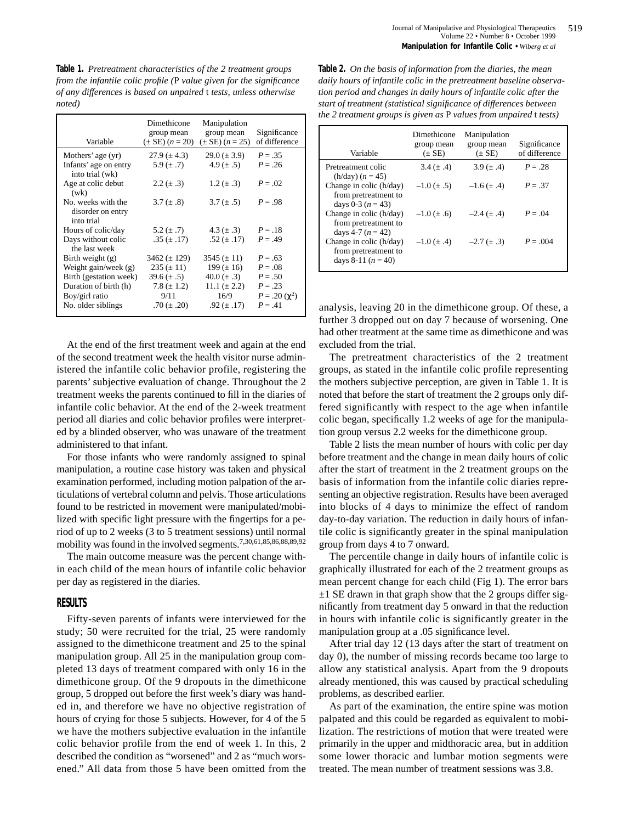**Table 1.** *Pretreatment characteristics of the 2 treatment groups from the infantile colic profile (*P *value given for the significance of any differences is based on unpaired* t *tests, unless otherwise noted)*

| Variable                                              | Dimethicone<br>group mean<br>$(\pm SE)$ $(n = 20)$ | Manipulation<br>group mean<br>$(\pm SE)$ $(n = 25)$ | Significance<br>of difference |
|-------------------------------------------------------|----------------------------------------------------|-----------------------------------------------------|-------------------------------|
| Mothers' age (yr)                                     | $27.9 (\pm 4.3)$                                   | $29.0 (\pm 3.9)$                                    | $P = .35$                     |
| Infants' age on entry<br>into trial (wk)              | 5.9 $(\pm .7)$                                     | 4.9 $(\pm .5)$                                      | $P = .26$                     |
| Age at colic debut<br>(wk)                            | $2.2 (\pm .3)$                                     | $1.2 (\pm .3)$                                      | $P = .02$                     |
| No. weeks with the<br>disorder on entry<br>into trial | 3.7 $(\pm .8)$                                     | 3.7 $(\pm .5)$                                      | $P = .98$                     |
| Hours of colic/day                                    | 5.2 $(\pm .7)$                                     | 4.3 $(\pm .3)$                                      | $P=.18$                       |
| Days without colic<br>the last week                   | $.35 \ (\pm .17)$                                  | .52 $(\pm .17)$                                     | $P = .49$                     |
| Birth weight $(g)$                                    | $3462 (\pm 129)$                                   | $3545 (\pm 11)$                                     | $P = .63$                     |
| Weight gain/week $(g)$                                | $235 (\pm 11)$                                     | 199 $(\pm 16)$                                      | $P=.08$                       |
| Birth (gestation week)                                | $39.6 (\pm .5)$                                    | 40.0 $(\pm .3)$                                     | $P = .50$                     |
| Duration of birth (h)                                 | $7.8 (\pm 1.2)$                                    | 11.1 $(\pm 2.2)$                                    | $P = .23$                     |
| Boy/girl ratio                                        | 9/11                                               | 16/9                                                | $P = .20 \, (\gamma^2)$       |
| No. older siblings                                    | .70 $(\pm .20)$                                    | .92 $(\pm .17)$                                     | $P = .41$                     |

At the end of the first treatment week and again at the end of the second treatment week the health visitor nurse administered the infantile colic behavior profile, registering the parents' subjective evaluation of change. Throughout the 2 treatment weeks the parents continued to fill in the diaries of infantile colic behavior. At the end of the 2-week treatment period all diaries and colic behavior profiles were interpreted by a blinded observer, who was unaware of the treatment administered to that infant.

For those infants who were randomly assigned to spinal manipulation, a routine case history was taken and physical examination performed, including motion palpation of the articulations of vertebral column and pelvis. Those articulations found to be restricted in movement were manipulated/mobilized with specific light pressure with the fingertips for a period of up to 2 weeks (3 to 5 treatment sessions) until normal mobility was found in the involved segments.7,30,61,85,86,88,89,92

The main outcome measure was the percent change within each child of the mean hours of infantile colic behavior per day as registered in the diaries.

# **RESULTS**

Fifty-seven parents of infants were interviewed for the study; 50 were recruited for the trial, 25 were randomly assigned to the dimethicone treatment and 25 to the spinal manipulation group. All 25 in the manipulation group completed 13 days of treatment compared with only 16 in the dimethicone group. Of the 9 dropouts in the dimethicone group, 5 dropped out before the first week's diary was handed in, and therefore we have no objective registration of hours of crying for those 5 subjects. However, for 4 of the 5 we have the mothers subjective evaluation in the infantile colic behavior profile from the end of week 1. In this, 2 described the condition as "worsened" and 2 as "much worsened." All data from those 5 have been omitted from the

**Table 2.** *On the basis of information from the diaries, the mean daily hours of infantile colic in the pretreatment baseline observation period and changes in daily hours of infantile colic after the start of treatment (statistical significance of differences between the 2 treatment groups is given as* P *values from unpaired* t *tests)*

| Variable                                                                | Dimethicone<br>group mean<br>$(\pm SE)$ | Manipulation<br>group mean<br>$(\pm SE)$ | Significance<br>of difference |
|-------------------------------------------------------------------------|-----------------------------------------|------------------------------------------|-------------------------------|
| Pretreatment colic<br>$(h/day) (n = 45)$                                | 3.4 $(\pm .4)$                          | 3.9 $(\pm .4)$                           | $P = .28$                     |
| Change in colic (h/day)<br>from pretreatment to<br>days 0-3 $(n = 43)$  | $-1.0 \ (\pm .5)$                       | $-1.6 (\pm .4)$                          | $P = 37$                      |
| Change in colic (h/day)<br>from pretreatment to<br>days 4-7 $(n = 42)$  | $-1.0 (\pm .6)$                         | $-2.4 (\pm .4)$                          | $P = 0.04$                    |
| Change in colic (h/day)<br>from pretreatment to<br>days 8-11 $(n = 40)$ | $-1.0 (\pm .4)$                         | $-2.7 (\pm .3)$                          | $P = .004$                    |

analysis, leaving 20 in the dimethicone group. Of these, a further 3 dropped out on day 7 because of worsening. One had other treatment at the same time as dimethicone and was excluded from the trial.

The pretreatment characteristics of the 2 treatment groups, as stated in the infantile colic profile representing the mothers subjective perception, are given in Table 1. It is noted that before the start of treatment the 2 groups only differed significantly with respect to the age when infantile colic began, specifically 1.2 weeks of age for the manipulation group versus 2.2 weeks for the dimethicone group.

Table 2 lists the mean number of hours with colic per day before treatment and the change in mean daily hours of colic after the start of treatment in the 2 treatment groups on the basis of information from the infantile colic diaries representing an objective registration. Results have been averaged into blocks of 4 days to minimize the effect of random day-to-day variation. The reduction in daily hours of infantile colic is significantly greater in the spinal manipulation group from days 4 to 7 onward.

The percentile change in daily hours of infantile colic is graphically illustrated for each of the 2 treatment groups as mean percent change for each child (Fig 1). The error bars  $\pm 1$  SE drawn in that graph show that the 2 groups differ significantly from treatment day 5 onward in that the reduction in hours with infantile colic is significantly greater in the manipulation group at a .05 significance level.

After trial day 12 (13 days after the start of treatment on day 0), the number of missing records became too large to allow any statistical analysis. Apart from the 9 dropouts already mentioned, this was caused by practical scheduling problems, as described earlier.

As part of the examination, the entire spine was motion palpated and this could be regarded as equivalent to mobilization. The restrictions of motion that were treated were primarily in the upper and midthoracic area, but in addition some lower thoracic and lumbar motion segments were treated. The mean number of treatment sessions was 3.8.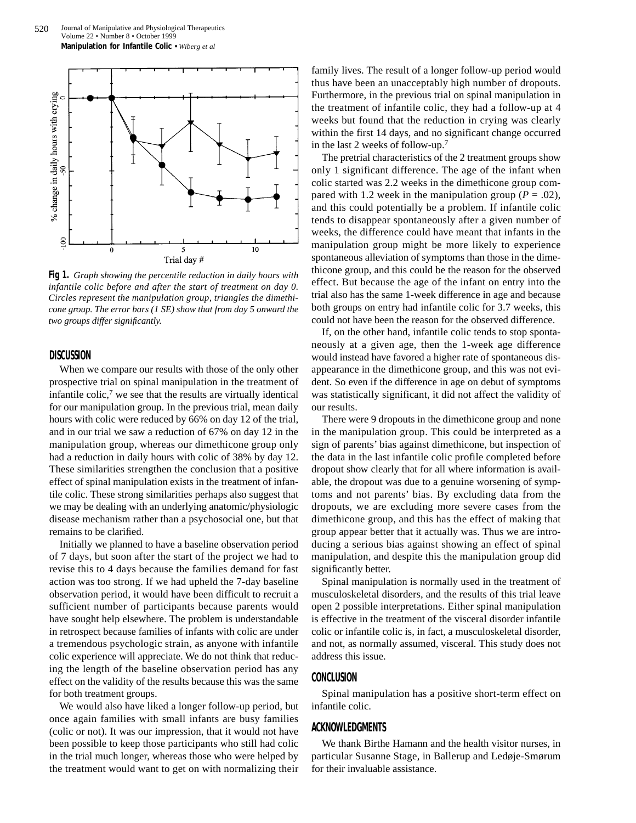

**Fig 1.** *Graph showing the percentile reduction in daily hours with infantile colic before and after the start of treatment on day 0. Circles represent the manipulation group, triangles the dimethicone group. The error bars (1 SE) show that from day 5 onward the two groups differ significantly.*

#### **DISCUSSION**

When we compare our results with those of the only other prospective trial on spinal manipulation in the treatment of infantile colic, $7$  we see that the results are virtually identical for our manipulation group. In the previous trial, mean daily hours with colic were reduced by 66% on day 12 of the trial, and in our trial we saw a reduction of 67% on day 12 in the manipulation group, whereas our dimethicone group only had a reduction in daily hours with colic of 38% by day 12. These similarities strengthen the conclusion that a positive effect of spinal manipulation exists in the treatment of infantile colic. These strong similarities perhaps also suggest that we may be dealing with an underlying anatomic/physiologic disease mechanism rather than a psychosocial one, but that remains to be clarified.

Initially we planned to have a baseline observation period of 7 days, but soon after the start of the project we had to revise this to 4 days because the families demand for fast action was too strong. If we had upheld the 7-day baseline observation period, it would have been difficult to recruit a sufficient number of participants because parents would have sought help elsewhere. The problem is understandable in retrospect because families of infants with colic are under a tremendous psychologic strain, as anyone with infantile colic experience will appreciate. We do not think that reducing the length of the baseline observation period has any effect on the validity of the results because this was the same for both treatment groups.

We would also have liked a longer follow-up period, but once again families with small infants are busy families (colic or not). It was our impression, that it would not have been possible to keep those participants who still had colic in the trial much longer, whereas those who were helped by the treatment would want to get on with normalizing their family lives. The result of a longer follow-up period would thus have been an unacceptably high number of dropouts. Furthermore, in the previous trial on spinal manipulation in the treatment of infantile colic, they had a follow-up at 4 weeks but found that the reduction in crying was clearly within the first 14 days, and no significant change occurred in the last 2 weeks of follow-up.7

The pretrial characteristics of the 2 treatment groups show only 1 significant difference. The age of the infant when colic started was 2.2 weeks in the dimethicone group compared with 1.2 week in the manipulation group ( $P = .02$ ), and this could potentially be a problem. If infantile colic tends to disappear spontaneously after a given number of weeks, the difference could have meant that infants in the manipulation group might be more likely to experience spontaneous alleviation of symptoms than those in the dimethicone group, and this could be the reason for the observed effect. But because the age of the infant on entry into the trial also has the same 1-week difference in age and because both groups on entry had infantile colic for 3.7 weeks, this could not have been the reason for the observed difference.

If, on the other hand, infantile colic tends to stop spontaneously at a given age, then the 1-week age difference would instead have favored a higher rate of spontaneous disappearance in the dimethicone group, and this was not evident. So even if the difference in age on debut of symptoms was statistically significant, it did not affect the validity of our results.

There were 9 dropouts in the dimethicone group and none in the manipulation group. This could be interpreted as a sign of parents' bias against dimethicone, but inspection of the data in the last infantile colic profile completed before dropout show clearly that for all where information is available, the dropout was due to a genuine worsening of symptoms and not parents' bias. By excluding data from the dropouts, we are excluding more severe cases from the dimethicone group, and this has the effect of making that group appear better that it actually was. Thus we are introducing a serious bias against showing an effect of spinal manipulation, and despite this the manipulation group did significantly better.

Spinal manipulation is normally used in the treatment of musculoskeletal disorders, and the results of this trial leave open 2 possible interpretations. Either spinal manipulation is effective in the treatment of the visceral disorder infantile colic or infantile colic is, in fact, a musculoskeletal disorder, and not, as normally assumed, visceral. This study does not address this issue.

# **CONCLUSION**

Spinal manipulation has a positive short-term effect on infantile colic.

# **ACKNOWLEDGMENTS**

We thank Birthe Hamann and the health visitor nurses, in particular Susanne Stage, in Ballerup and Ledøje-Smørum for their invaluable assistance.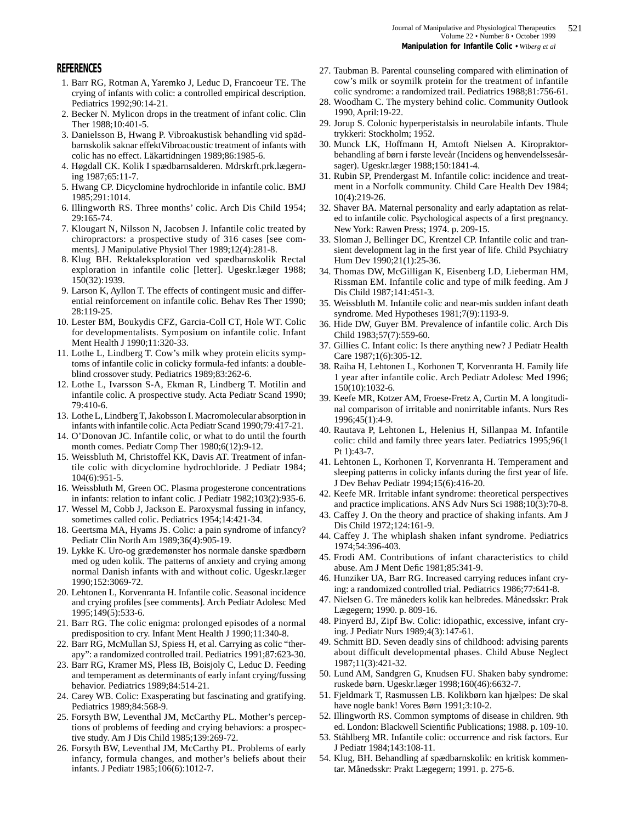## **REFERENCES**

- 1. Barr RG, Rotman A, Yaremko J, Leduc D, Francoeur TE. The crying of infants with colic: a controlled empirical description. Pediatrics 1992;90:14-21.
- 2. Becker N. Mylicon drops in the treatment of infant colic. Clin Ther 1988;10:401-5.
- 3. Danielsson B, Hwang P. Vibroakustisk behandling vid spädbarnskolik saknar effektVibroacoustic treatment of infants with colic has no effect. Läkartidningen 1989;86:1985-6.
- 4. Høgdall CK. Kolik I spædbarnsalderen. Mdrskrft.prk.lægerning 1987;65:11-7.
- 5. Hwang CP. Dicyclomine hydrochloride in infantile colic. BMJ 1985;291:1014.
- 6. Illingworth RS. Three months' colic. Arch Dis Child 1954; 29:165-74.
- 7. Klougart N, Nilsson N, Jacobsen J. Infantile colic treated by chiropractors: a prospective study of 316 cases [see comments]. J Manipulative Physiol Ther 1989;12(4):281-8.
- 8. Klug BH. Rektaleksploration ved spædbarnskolik Rectal exploration in infantile colic [letter]. Ugeskr.læger 1988; 150(32):1939.
- 9. Larson K, Ayllon T. The effects of contingent music and differential reinforcement on infantile colic. Behav Res Ther 1990; 28:119-25.
- 10. Lester BM, Boukydis CFZ, Garcia-Coll CT, Hole WT. Colic for developmentalists. Symposium on infantile colic. Infant Ment Health J 1990;11:320-33.
- 11. Lothe L, Lindberg T. Cow's milk whey protein elicits symptoms of infantile colic in colicky formula-fed infants: a doubleblind crossover study. Pediatrics 1989;83:262-6.
- 12. Lothe L, Ivarsson S-A, Ekman R, Lindberg T. Motilin and infantile colic. A prospective study. Acta Pediatr Scand 1990; 79:410-6.
- 13. Lothe L, Lindberg T, Jakobsson I. Macromolecular absorption in infants with infantile colic. Acta Pediatr Scand 1990;79:417-21.
- 14. O'Donovan JC. Infantile colic, or what to do until the fourth month comes. Pediatr Comp Ther 1980;6(12):9-12.
- 15. Weissbluth M, Christoffel KK, Davis AT. Treatment of infantile colic with dicyclomine hydrochloride. J Pediatr 1984; 104(6):951-5.
- 16. Weissbluth M, Green OC. Plasma progesterone concentrations in infants: relation to infant colic. J Pediatr 1982;103(2):935-6.
- 17. Wessel M, Cobb J, Jackson E. Paroxysmal fussing in infancy, sometimes called colic. Pediatrics 1954;14:421-34.
- 18. Geertsma MA, Hyams JS. Colic: a pain syndrome of infancy? Pediatr Clin North Am 1989;36(4):905-19.
- 19. Lykke K. Uro-og grædemønster hos normale danske spædbørn med og uden kolik. The patterns of anxiety and crying among normal Danish infants with and without colic. Ugeskr.læger 1990;152:3069-72.
- 20. Lehtonen L, Korvenranta H. Infantile colic. Seasonal incidence and crying profiles [see comments]. Arch Pediatr Adolesc Med 1995;149(5):533-6.
- 21. Barr RG. The colic enigma: prolonged episodes of a normal predisposition to cry. Infant Ment Health J 1990;11:340-8.
- 22. Barr RG, McMullan SJ, Spiess H, et al. Carrying as colic "therapy": a randomized controlled trail. Pediatrics 1991;87:623-30.
- 23. Barr RG, Kramer MS, Pless IB, Boisjoly C, Leduc D. Feeding and temperament as determinants of early infant crying/fussing behavior. Pediatrics 1989;84:514-21.
- 24. Carey WB. Colic: Exasperating but fascinating and gratifying. Pediatrics 1989;84:568-9.
- 25. Forsyth BW, Leventhal JM, McCarthy PL. Mother's perceptions of problems of feeding and crying behaviors: a prospective study. Am J Dis Child 1985;139:269-72.
- 26. Forsyth BW, Leventhal JM, McCarthy PL. Problems of early infancy, formula changes, and mother's beliefs about their infants. J Pediatr 1985;106(6):1012-7.
- 27. Taubman B. Parental counseling compared with elimination of cow's milk or soymilk protein for the treatment of infantile colic syndrome: a randomized trail. Pediatrics 1988;81:756-61.
- 28. Woodham C. The mystery behind colic. Community Outlook 1990, April:19-22.
- 29. Jorup S. Colonic hyperperistalsis in neurolabile infants. Thule trykkeri: Stockholm; 1952.
- 30. Munck LK, Hoffmann H, Amtoft Nielsen A. Kiropraktorbehandling af børn i første leveår (Incidens og henvendelssesårsager). Ugeskr.læger 1988;150:1841-4.
- 31. Rubin SP, Prendergast M. Infantile colic: incidence and treatment in a Norfolk community. Child Care Health Dev 1984; 10(4):219-26.
- 32. Shaver BA. Maternal personality and early adaptation as related to infantile colic. Psychological aspects of a first pregnancy. New York: Rawen Press; 1974. p. 209-15.
- 33. Sloman J, Bellinger DC, Krentzel CP. Infantile colic and transient development lag in the first year of life. Child Psychiatry Hum Dev 1990;21(1):25-36.
- 34. Thomas DW, McGilligan K, Eisenberg LD, Lieberman HM, Rissman EM. Infantile colic and type of milk feeding. Am J Dis Child 1987;141:451-3.
- 35. Weissbluth M. Infantile colic and near-mis sudden infant death syndrome. Med Hypotheses 1981;7(9):1193-9.
- 36. Hide DW, Guyer BM. Prevalence of infantile colic. Arch Dis Child 1983;57(7):559-60.
- 37. Gillies C. Infant colic: Is there anything new? J Pediatr Health Care 1987;1(6):305-12.
- 38. Raiha H, Lehtonen L, Korhonen T, Korvenranta H. Family life 1 year after infantile colic. Arch Pediatr Adolesc Med 1996; 150(10):1032-6.
- 39. Keefe MR, Kotzer AM, Froese-Fretz A, Curtin M. A longitudinal comparison of irritable and nonirritable infants. Nurs Res 1996;45(1):4-9.
- 40. Rautava P, Lehtonen L, Helenius H, Sillanpaa M. Infantile colic: child and family three years later. Pediatrics 1995;96(1 Pt 1):43-7.
- 41. Lehtonen L, Korhonen T, Korvenranta H. Temperament and sleeping patterns in colicky infants during the first year of life. J Dev Behav Pediatr 1994;15(6):416-20.
- 42. Keefe MR. Irritable infant syndrome: theoretical perspectives and practice implications. ANS Adv Nurs Sci 1988;10(3):70-8.
- 43. Caffey J. On the theory and practice of shaking infants. Am J Dis Child 1972;124:161-9.
- 44. Caffey J. The whiplash shaken infant syndrome. Pediatrics 1974;54:396-403.
- 45. Frodi AM. Contributions of infant characteristics to child abuse. Am J Ment Defic 1981;85:341-9.
- 46. Hunziker UA, Barr RG. Increased carrying reduces infant crying: a randomized controlled trial. Pediatrics 1986;77:641-8.
- 47. Nielsen G. Tre måneders kolik kan helbredes. Månedsskr: Prak Lægegern; 1990. p. 809-16.
- 48. Pinyerd BJ, Zipf Bw. Colic: idiopathic, excessive, infant crying. J Pediatr Nurs 1989;4(3):147-61.
- 49. Schmitt BD. Seven deadly sins of childhood: advising parents about difficult developmental phases. Child Abuse Neglect 1987;11(3):421-32.
- 50. Lund AM, Sandgren G, Knudsen FU. Shaken baby syndrome: ruskede børn. Ugeskr.læger 1998;160(46):6632-7.
- 51. Fjeldmark T, Rasmussen LB. Kolikbørn kan hjælpes: De skal have nogle bank! Vores Børn 1991;3:10-2.
- 52. Illingworth RS. Common symptoms of disease in children. 9th ed. London: Blackwell Scientific Publications; 1988. p. 109-10.
- 53. Ståhlberg MR. Infantile colic: occurrence and risk factors. Eur J Pediatr 1984;143:108-11.
- 54. Klug, BH. Behandling af spædbarnskolik: en kritisk kommentar. Månedsskr: Prakt Lægegern; 1991. p. 275-6.